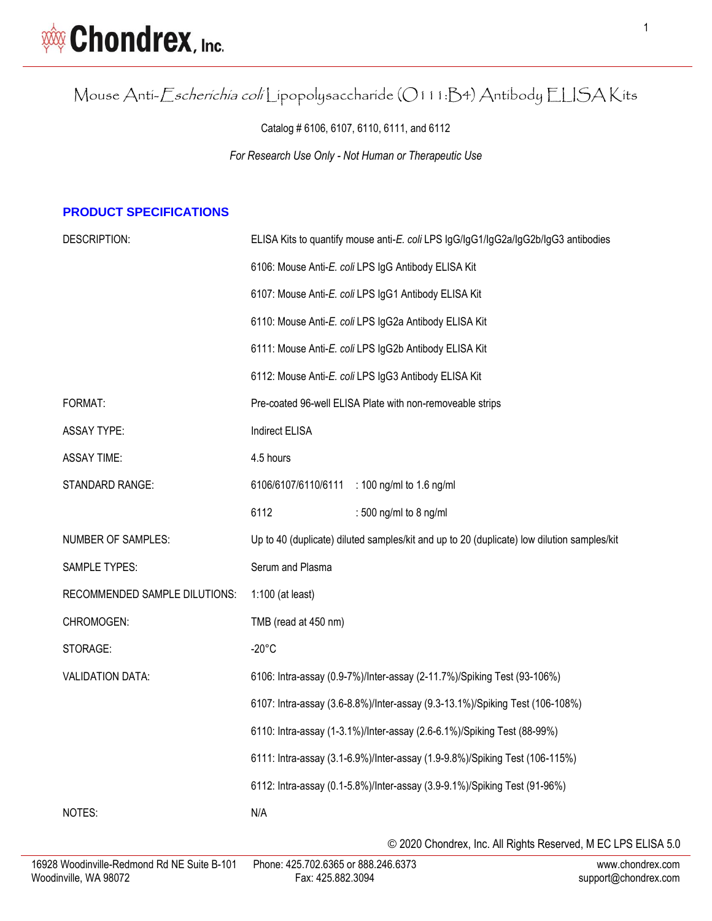Mouse Anti-Escherichia coli Lipopolysaccharide (O111:B4) Antibody ELISA Kits

Catalog # 6106, 6107, 6110, 6111, and 6112

*For Research Use Only - Not Human or Therapeutic Use*

#### **PRODUCT SPECIFICATIONS**

| DESCRIPTION:                  | ELISA Kits to quantify mouse anti-E. coli LPS IgG/IgG1/IgG2a/IgG2b/IgG3 antibodies         |  |  |
|-------------------------------|--------------------------------------------------------------------------------------------|--|--|
|                               | 6106: Mouse Anti-E. coli LPS IgG Antibody ELISA Kit                                        |  |  |
|                               | 6107: Mouse Anti-E. coli LPS IgG1 Antibody ELISA Kit                                       |  |  |
|                               | 6110: Mouse Anti-E. coli LPS IgG2a Antibody ELISA Kit                                      |  |  |
|                               | 6111: Mouse Anti-E. coli LPS IgG2b Antibody ELISA Kit                                      |  |  |
|                               | 6112: Mouse Anti-E. coli LPS IgG3 Antibody ELISA Kit                                       |  |  |
| FORMAT:                       | Pre-coated 96-well ELISA Plate with non-removeable strips                                  |  |  |
| <b>ASSAY TYPE:</b>            | Indirect ELISA                                                                             |  |  |
| <b>ASSAY TIME:</b>            | 4.5 hours                                                                                  |  |  |
| STANDARD RANGE:               | 6106/6107/6110/6111<br>: 100 ng/ml to 1.6 ng/ml                                            |  |  |
|                               | 6112<br>: 500 ng/ml to 8 ng/ml                                                             |  |  |
| NUMBER OF SAMPLES:            | Up to 40 (duplicate) diluted samples/kit and up to 20 (duplicate) low dilution samples/kit |  |  |
| <b>SAMPLE TYPES:</b>          | Serum and Plasma                                                                           |  |  |
| RECOMMENDED SAMPLE DILUTIONS: | $1:100$ (at least)                                                                         |  |  |
| CHROMOGEN:                    | TMB (read at 450 nm)                                                                       |  |  |
| STORAGE:                      | $-20^{\circ}$ C                                                                            |  |  |
| <b>VALIDATION DATA:</b>       | 6106: Intra-assay (0.9-7%)/Inter-assay (2-11.7%)/Spiking Test (93-106%)                    |  |  |
|                               | 6107: Intra-assay (3.6-8.8%)/Inter-assay (9.3-13.1%)/Spiking Test (106-108%)               |  |  |
|                               | 6110: Intra-assay (1-3.1%)/Inter-assay (2.6-6.1%)/Spiking Test (88-99%)                    |  |  |
|                               | 6111: Intra-assay (3.1-6.9%)/Inter-assay (1.9-9.8%)/Spiking Test (106-115%)                |  |  |
|                               | 6112: Intra-assay (0.1-5.8%)/Inter-assay (3.9-9.1%)/Spiking Test (91-96%)                  |  |  |
| NOTES:                        | N/A                                                                                        |  |  |
|                               |                                                                                            |  |  |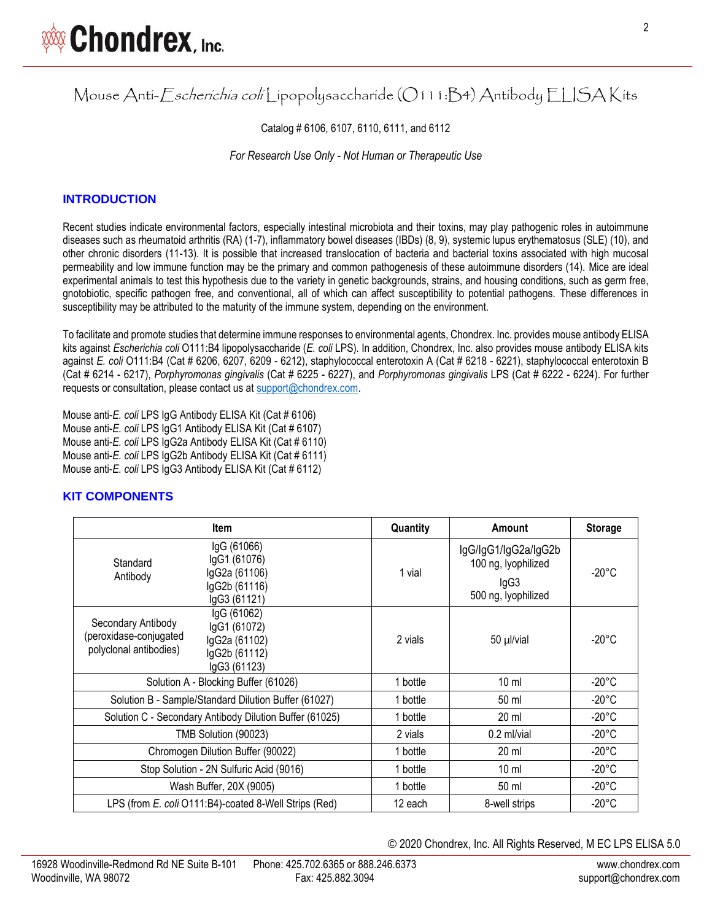Mouse Anti-Escherichia coli Lipopolysaccharide (O111:B4) Antibody ELISA Kits

Catalog # 6106, 6107, 6110, 6111, and 6112

*For Research Use Only - Not Human or Therapeutic Use*

### **INTRODUCTION**

Recent studies indicate environmental factors, especially intestinal microbiota and their toxins, may play pathogenic roles in autoimmune diseases such as rheumatoid arthritis (RA) (1-7), inflammatory bowel diseases (IBDs) (8, 9), systemic lupus erythematosus (SLE) (10), and other chronic disorders (11-13). It is possible that increased translocation of bacteria and bacterial toxins associated with high mucosal permeability and low immune function may be the primary and common pathogenesis of these autoimmune disorders (14). Mice are ideal experimental animals to test this hypothesis due to the variety in genetic backgrounds, strains, and housing conditions, such as germ free, gnotobiotic, specific pathogen free, and conventional, all of which can affect susceptibility to potential pathogens. These differences in susceptibility may be attributed to the maturity of the immune system, depending on the environment.

To facilitate and promote studies that determine immune responses to environmental agents, Chondrex. Inc. provides mouse antibody ELISA kits against *Escherichia coli* O111:B4 lipopolysaccharide (*E. coli* LPS). In addition, Chondrex, Inc. also provides mouse antibody ELISA kits against *E. coli* O111:B4 (Cat # 6206, 6207, 6209 - 6212), staphylococcal enterotoxin A (Cat # 6218 - 6221), staphylococcal enterotoxin B (Cat # 6214 - 6217), *Porphyromonas gingivalis* (Cat # 6225 - 6227), and *Porphyromonas gingivalis* LPS (Cat # 6222 - 6224). For further requests or consultation, please contact us at [support@chondrex.com.](mailto:support@chondrex.com)

Mouse anti-*E. coli* LPS IgG Antibody ELISA Kit (Cat # 6106) Mouse anti-*E. coli* LPS IgG1 Antibody ELISA Kit (Cat # 6107) Mouse anti-*E. coli* LPS IgG2a Antibody ELISA Kit (Cat # 6110) Mouse anti-*E. coli* LPS IgG2b Antibody ELISA Kit (Cat # 6111) Mouse anti-*E. coli* LPS IgG3 Antibody ELISA Kit (Cat # 6112)

#### **KIT COMPONENTS**

|                                                                        | <b>Item</b>                                                                   | Quantity | Amount                                                                     | <b>Storage</b>  |
|------------------------------------------------------------------------|-------------------------------------------------------------------------------|----------|----------------------------------------------------------------------------|-----------------|
| Standard<br>Antibody                                                   | IgG (61066)<br>IgG1 (61076)<br>IgG2a (61106)<br>lgG2b (61116)<br>IgG3 (61121) | 1 vial   | lgG/lgG1/lgG2a/lgG2b<br>100 ng, lyophilized<br>lgG3<br>500 ng, lyophilized | $-20^{\circ}$ C |
| Secondary Antibody<br>(peroxidase-conjugated<br>polyclonal antibodies) | IgG (61062)<br>IgG1 (61072)<br>IgG2a (61102)<br>lgG2b (61112)<br>IgG3 (61123) | 2 vials  | 50 µl/vial                                                                 | $-20^{\circ}$ C |
|                                                                        | Solution A - Blocking Buffer (61026)                                          | 1 bottle | $10 \mathrm{m}$                                                            | $-20^{\circ}$ C |
| Solution B - Sample/Standard Dilution Buffer (61027)                   |                                                                               | 1 bottle | 50 ml                                                                      | $-20^{\circ}$ C |
| Solution C - Secondary Antibody Dilution Buffer (61025)                |                                                                               | 1 bottle | $20 \mathrm{m}$                                                            | $-20^{\circ}$ C |
| TMB Solution (90023)                                                   |                                                                               | 2 vials  | $0.2$ ml/vial                                                              | $-20^{\circ}$ C |
|                                                                        | Chromogen Dilution Buffer (90022)                                             | 1 bottle | 20 ml                                                                      | $-20^{\circ}$ C |
| Stop Solution - 2N Sulfuric Acid (9016)                                |                                                                               | 1 bottle | 10 <sub>ml</sub>                                                           | $-20^{\circ}$ C |
| Wash Buffer, 20X (9005)                                                |                                                                               | 1 bottle | 50 ml                                                                      | $-20^{\circ}$ C |
| LPS (from E. coli O111:B4)-coated 8-Well Strips (Red)                  |                                                                               | 12 each  | 8-well strips                                                              | $-20^{\circ}$ C |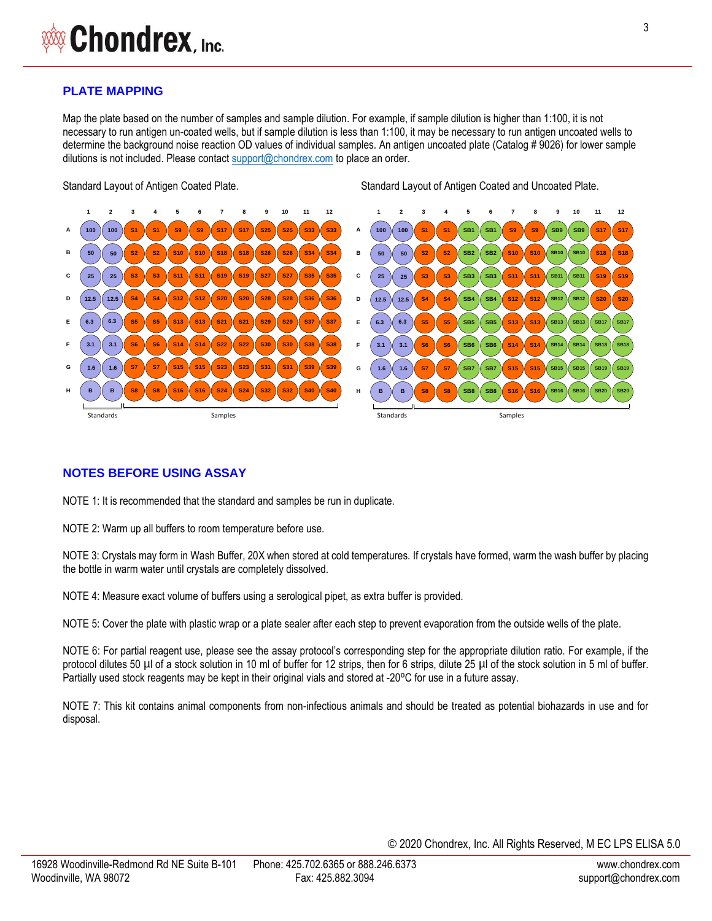#### **PLATE MAPPING**

Map the plate based on the number of samples and sample dilution. For example, if sample dilution is higher than 1:100, it is not necessary to run antigen un-coated wells, but if sample dilution is less than 1:100, it may be necessary to run antigen uncoated wells to determine the background noise reaction OD values of individual samples. An antigen uncoated plate (Catalog # 9026) for lower sample dilutions is not included. Please contac[t support@chondrex.com](mailto:support@chondrex.com) to place an order.

Standard Layout of Antigen Coated Plate. Standard Layout of Antigen Coated and Uncoated Plate.



#### **NOTES BEFORE USING ASSAY**

NOTE 1: It is recommended that the standard and samples be run in duplicate.

NOTE 2: Warm up all buffers to room temperature before use.

NOTE 3: Crystals may form in Wash Buffer, 20X when stored at cold temperatures. If crystals have formed, warm the wash buffer by placing the bottle in warm water until crystals are completely dissolved.

NOTE 4: Measure exact volume of buffers using a serological pipet, as extra buffer is provided.

NOTE 5: Cover the plate with plastic wrap or a plate sealer after each step to prevent evaporation from the outside wells of the plate.

NOTE 6: For partial reagent use, please see the assay protocol's corresponding step for the appropriate dilution ratio. For example, if the protocol dilutes 50 µl of a stock solution in 10 ml of buffer for 12 strips, then for 6 strips, dilute 25 µl of the stock solution in 5 ml of buffer. Partially used stock reagents may be kept in their original vials and stored at -20°C for use in a future assay.

NOTE 7: This kit contains animal components from non-infectious animals and should be treated as potential biohazards in use and for disposal.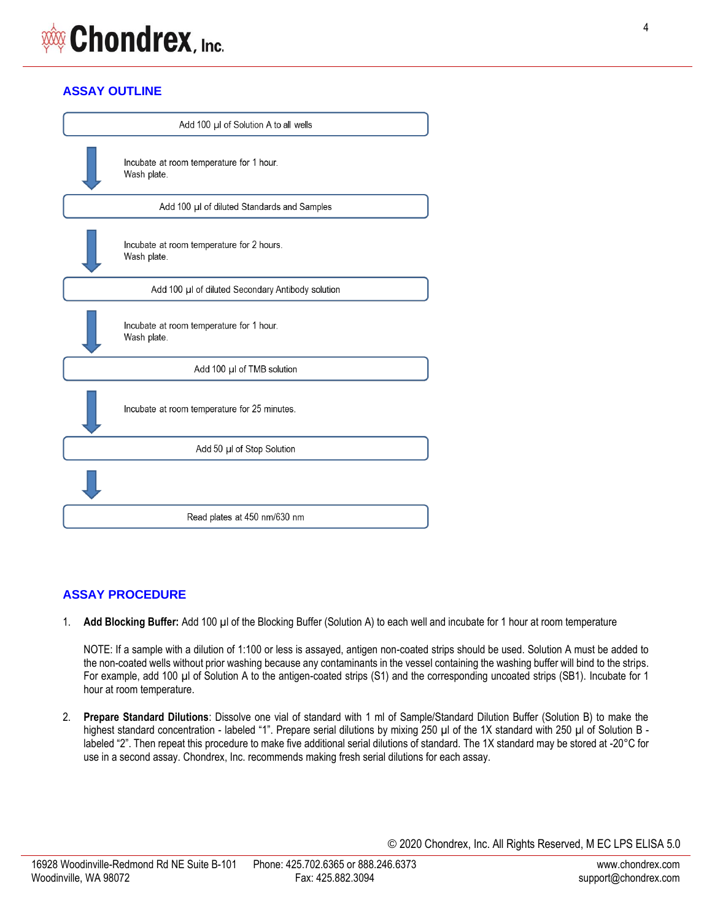# **Chondrex, Inc.**

# **ASSAY OUTLINE**

| Add 100 µl of Solution A to all wells |                                                          |  |
|---------------------------------------|----------------------------------------------------------|--|
|                                       | Incubate at room temperature for 1 hour.<br>Wash plate.  |  |
|                                       | Add 100 µl of diluted Standards and Samples              |  |
|                                       | Incubate at room temperature for 2 hours.<br>Wash plate. |  |
|                                       | Add 100 µl of diluted Secondary Antibody solution        |  |
|                                       | Incubate at room temperature for 1 hour.<br>Wash plate.  |  |
|                                       | Add 100 µl of TMB solution                               |  |
|                                       | Incubate at room temperature for 25 minutes.             |  |
|                                       | Add 50 µl of Stop Solution                               |  |
|                                       |                                                          |  |
|                                       | Read plates at 450 nm/630 nm                             |  |

# **ASSAY PROCEDURE**

1. **Add Blocking Buffer:** Add 100 µl of the Blocking Buffer (Solution A) to each well and incubate for 1 hour at room temperature

NOTE: If a sample with a dilution of 1:100 or less is assayed, antigen non-coated strips should be used. Solution A must be added to the non-coated wells without prior washing because any contaminants in the vessel containing the washing buffer will bind to the strips. For example, add 100 µl of Solution A to the antigen-coated strips (S1) and the corresponding uncoated strips (SB1). Incubate for 1 hour at room temperature.

2. **Prepare Standard Dilutions**: Dissolve one vial of standard with 1 ml of Sample/Standard Dilution Buffer (Solution B) to make the highest standard concentration - labeled "1". Prepare serial dilutions by mixing 250 µl of the 1X standard with 250 µl of Solution B labeled "2". Then repeat this procedure to make five additional serial dilutions of standard. The 1X standard may be stored at -20°C for use in a second assay. Chondrex, Inc. recommends making fresh serial dilutions for each assay.

4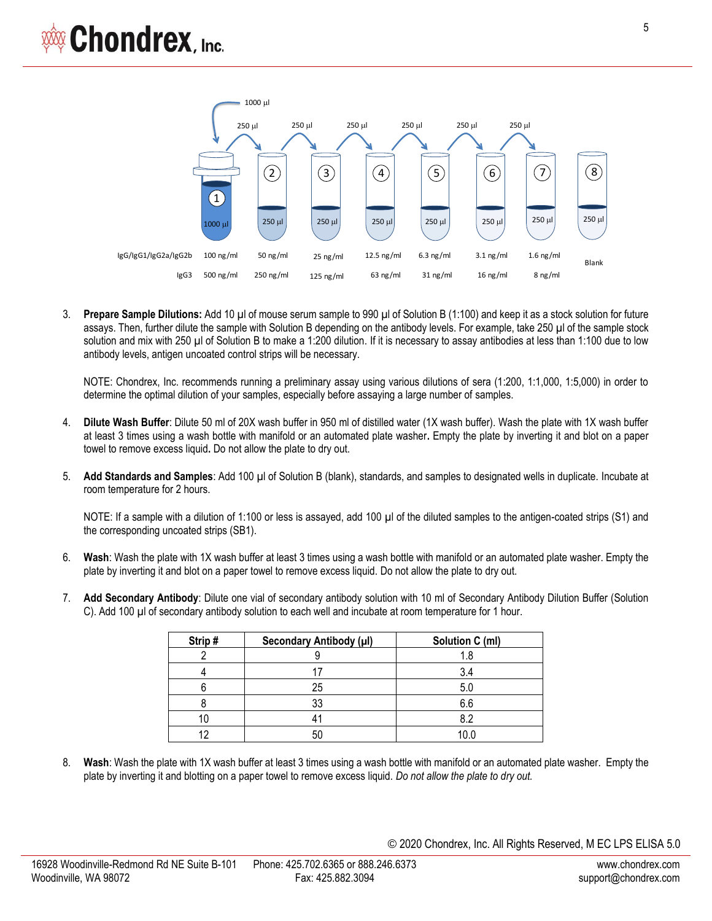

3. **Prepare Sample Dilutions:** Add 10 µl of mouse serum sample to 990 µl of Solution B (1:100) and keep it as a stock solution for future assays. Then, further dilute the sample with Solution B depending on the antibody levels. For example, take 250 µl of the sample stock solution and mix with 250 µl of Solution B to make a 1:200 dilution. If it is necessary to assay antibodies at less than 1:100 due to low antibody levels, antigen uncoated control strips will be necessary.

NOTE: Chondrex, Inc. recommends running a preliminary assay using various dilutions of sera (1:200, 1:1,000, 1:5,000) in order to determine the optimal dilution of your samples, especially before assaying a large number of samples.

- 4. **Dilute Wash Buffer**: Dilute 50 ml of 20X wash buffer in 950 ml of distilled water (1X wash buffer). Wash the plate with 1X wash buffer at least 3 times using a wash bottle with manifold or an automated plate washer**.** Empty the plate by inverting it and blot on a paper towel to remove excess liquid**.** Do not allow the plate to dry out.
- 5. **Add Standards and Samples**: Add 100 µl of Solution B (blank), standards, and samples to designated wells in duplicate. Incubate at room temperature for 2 hours.

NOTE: If a sample with a dilution of 1:100 or less is assayed, add 100 µl of the diluted samples to the antigen-coated strips (S1) and the corresponding uncoated strips (SB1).

- 6. **Wash**: Wash the plate with 1X wash buffer at least 3 times using a wash bottle with manifold or an automated plate washer. Empty the plate by inverting it and blot on a paper towel to remove excess liquid. Do not allow the plate to dry out.
- 7. **Add Secondary Antibody**: Dilute one vial of secondary antibody solution with 10 ml of Secondary Antibody Dilution Buffer (Solution C). Add 100 µl of secondary antibody solution to each well and incubate at room temperature for 1 hour.

| Strip# | Secondary Antibody (µl) | Solution C (ml) |
|--------|-------------------------|-----------------|
|        |                         |                 |
|        |                         | 3.4             |
|        | 25                      | 5.0             |
|        | 33                      | 6.6             |
|        |                         | 8.2             |
|        |                         | 10.C            |

8. **Wash**: Wash the plate with 1X wash buffer at least 3 times using a wash bottle with manifold or an automated plate washer. Empty the plate by inverting it and blotting on a paper towel to remove excess liquid. *Do not allow the plate to dry out.*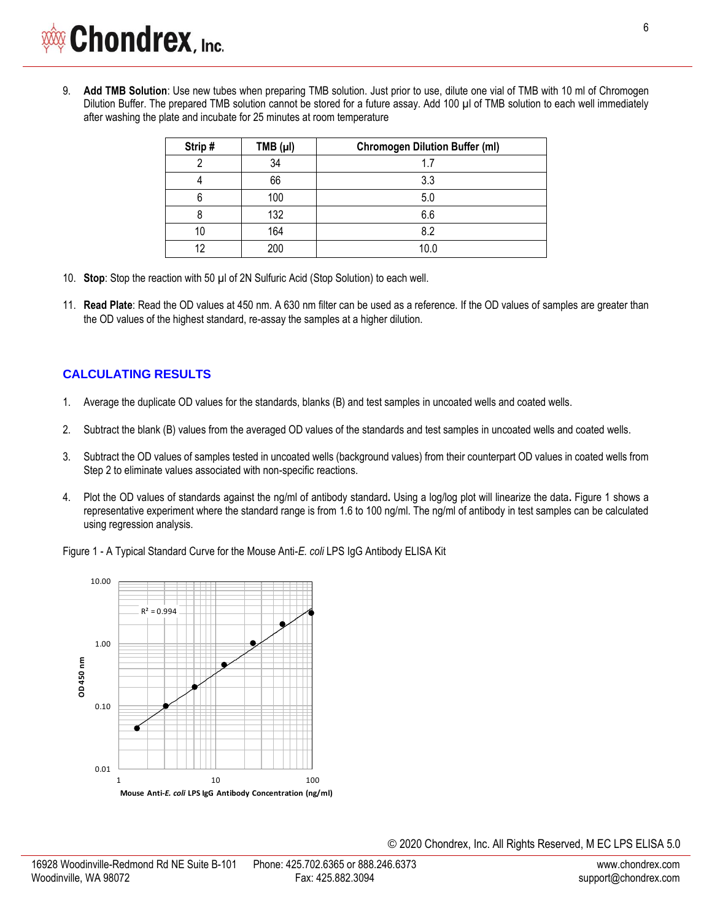9. **Add TMB Solution**: Use new tubes when preparing TMB solution. Just prior to use, dilute one vial of TMB with 10 ml of Chromogen Dilution Buffer. The prepared TMB solution cannot be stored for a future assay. Add 100 µl of TMB solution to each well immediately after washing the plate and incubate for 25 minutes at room temperature

| Strip# | $TMB (\mu I)$ | <b>Chromogen Dilution Buffer (ml)</b> |
|--------|---------------|---------------------------------------|
|        | 34            | 1.7                                   |
|        | 66            | 3.3                                   |
| 6      | 100           | 5.0                                   |
|        | 132           | 6.6                                   |
| 10     | 164           | 8.2                                   |
| 12     | 200           | 10.0                                  |

- 10. **Stop**: Stop the reaction with 50 µl of 2N Sulfuric Acid (Stop Solution) to each well.
- 11. **Read Plate**: Read the OD values at 450 nm. A 630 nm filter can be used as a reference. If the OD values of samples are greater than the OD values of the highest standard, re-assay the samples at a higher dilution.

# **CALCULATING RESULTS**

- 1. Average the duplicate OD values for the standards, blanks (B) and test samples in uncoated wells and coated wells.
- 2. Subtract the blank (B) values from the averaged OD values of the standards and test samples in uncoated wells and coated wells.
- 3. Subtract the OD values of samples tested in uncoated wells (background values) from their counterpart OD values in coated wells from Step 2 to eliminate values associated with non-specific reactions.
- 4. Plot the OD values of standards against the ng/ml of antibody standard**.** Using a log/log plot will linearize the data**.** Figure 1 shows a representative experiment where the standard range is from 1.6 to 100 ng/ml. The ng/ml of antibody in test samples can be calculated using regression analysis.

Figure 1 - A Typical Standard Curve for the Mouse Anti-*E. coli* LPS IgG Antibody ELISA Kit

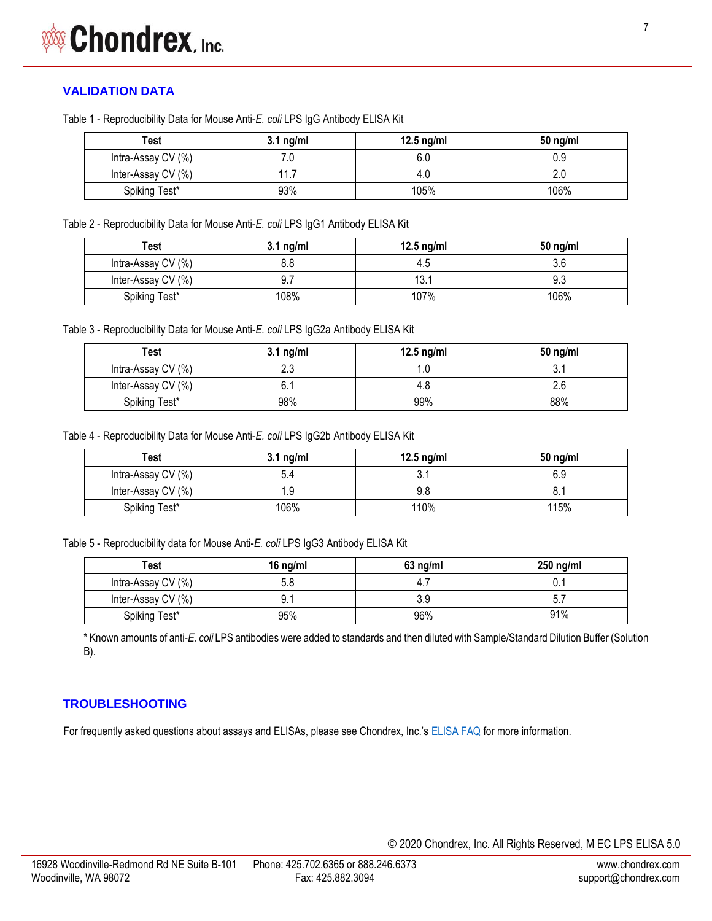# **VALIDATION DATA**

Table 1 - Reproducibility Data for Mouse Anti-*E. coli* LPS IgG Antibody ELISA Kit

| Test               | $3.1$ ng/ml | 12.5 $ng/ml$ | $50$ ng/ml |
|--------------------|-------------|--------------|------------|
| Intra-Assay CV (%) |             | 6.0          | 0.9        |
| Inter-Assay CV (%) | 11.7        | 4.0          |            |
| Spiking Test*      | 93%         | 105%         | 106%       |

Table 2 - Reproducibility Data for Mouse Anti-*E. coli* LPS IgG1 Antibody ELISA Kit

| Test               | $3.1$ ng/ml | 12.5 $ng/ml$ | $50$ ng/ml |
|--------------------|-------------|--------------|------------|
| Intra-Assay CV (%) |             |              |            |
| Inter-Assay CV (%) |             | 13.1         |            |
| Spiking Test*      | 108%        | 107%         | 106%       |

Table 3 - Reproducibility Data for Mouse Anti-*E. coli* LPS IgG2a Antibody ELISA Kit

| Test               | $3.1$ ng/ml | 12.5 $ng/ml$ | $50$ ng/ml |
|--------------------|-------------|--------------|------------|
| Intra-Assay CV (%) | າາ<br>د.∠   |              |            |
| Inter-Assay CV (%) |             | 4.Ն          |            |
| Spiking Test*      | 98%         | 99%          | 88%        |

Table 4 - Reproducibility Data for Mouse Anti-*E. coli* LPS IgG2b Antibody ELISA Kit

| Test               | $3.1$ ng/ml | 12.5 $ng/ml$ | $50$ ng/ml |
|--------------------|-------------|--------------|------------|
| Intra-Assay CV (%) | 5.4         | J.           | 6.9        |
| Inter-Assay CV (%) | l.9         | 9.8          |            |
| Spiking Test*      | 106%        | 110%         | 115%       |

Table 5 - Reproducibility data for Mouse Anti-*E. coli* LPS IgG3 Antibody ELISA Kit

| Test               | 16 $ng/ml$ | $63$ ng/ml | $250$ ng/ml |
|--------------------|------------|------------|-------------|
| Intra-Assay CV (%) | 5.8        | -4.        |             |
| Inter-Assay CV (%) |            |            |             |
| Spiking Test*      | 95%        | 96%        | 91%         |

\* Known amounts of anti-*E. coli* LPS antibodies were added to standards and then diluted with Sample/Standard Dilution Buffer (Solution B).

# **TROUBLESHOOTING**

For frequently asked questions about assays and ELISAs, please see Chondrex, Inc.'s [ELISA FAQ](https://www.chondrex.com/documents/ELISA-FAQ.pdf) for more information.